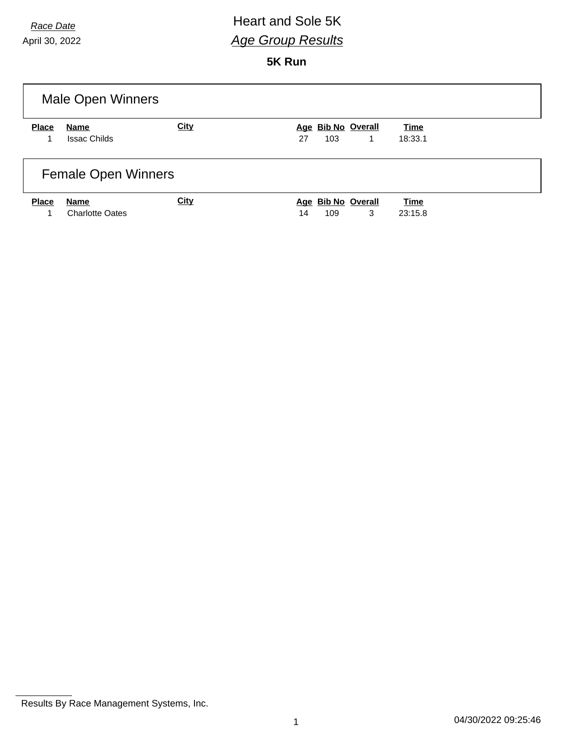#### *Race Date* **All Acce Date Race Date Race Date** *Age Group Results*

**5K Run**

| Male Open Winners |                                |             |                                      |                        |  |
|-------------------|--------------------------------|-------------|--------------------------------------|------------------------|--|
| <b>Place</b>      | Name                           | <b>City</b> | Age Bib No Overall                   | <b>Time</b>            |  |
|                   | <b>Issac Childs</b>            |             | 27<br>103<br>1                       | 18:33.1                |  |
|                   | <b>Female Open Winners</b>     |             |                                      |                        |  |
| <b>Place</b>      | Name<br><b>Charlotte Oates</b> | <b>City</b> | Age Bib No Overall<br>3<br>14<br>109 | <b>Time</b><br>23:15.8 |  |

Results By Race Management Systems, Inc.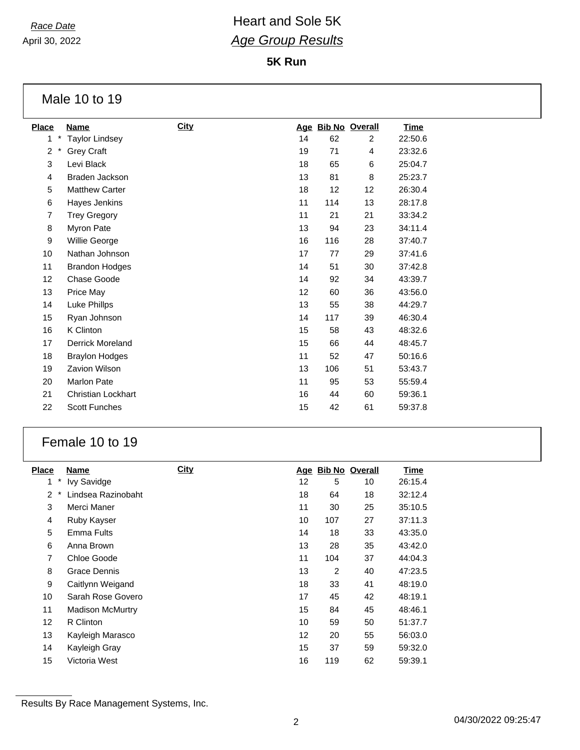# *Race Date* **All Acce Date Race Date Race Date** *Age Group Results*

**5K Run**

Male 10 to 19

| <b>Place</b>               | Name                      | <b>City</b> |    |     | Age Bib No Overall | <b>Time</b> |
|----------------------------|---------------------------|-------------|----|-----|--------------------|-------------|
| $^{\star}$<br>1            | <b>Taylor Lindsey</b>     |             | 14 | 62  | $\overline{2}$     | 22:50.6     |
| $\overline{2}$<br>$^\star$ | <b>Grey Craft</b>         |             | 19 | 71  | 4                  | 23:32.6     |
| 3                          | Levi Black                |             | 18 | 65  | 6                  | 25:04.7     |
| 4                          | Braden Jackson            |             | 13 | 81  | 8                  | 25:23.7     |
| 5                          | <b>Matthew Carter</b>     |             | 18 | 12  | 12                 | 26:30.4     |
| 6                          | Hayes Jenkins             |             | 11 | 114 | 13                 | 28:17.8     |
| 7                          | <b>Trey Gregory</b>       |             | 11 | 21  | 21                 | 33:34.2     |
| 8                          | Myron Pate                |             | 13 | 94  | 23                 | 34:11.4     |
| 9                          | Willie George             |             | 16 | 116 | 28                 | 37:40.7     |
| 10                         | Nathan Johnson            |             | 17 | 77  | 29                 | 37:41.6     |
| 11                         | <b>Brandon Hodges</b>     |             | 14 | 51  | 30                 | 37:42.8     |
| 12                         | Chase Goode               |             | 14 | 92  | 34                 | 43:39.7     |
| 13                         | Price May                 |             | 12 | 60  | 36                 | 43:56.0     |
| 14                         | Luke Phillps              |             | 13 | 55  | 38                 | 44:29.7     |
| 15                         | Ryan Johnson              |             | 14 | 117 | 39                 | 46:30.4     |
| 16                         | K Clinton                 |             | 15 | 58  | 43                 | 48:32.6     |
| 17                         | <b>Derrick Moreland</b>   |             | 15 | 66  | 44                 | 48:45.7     |
| 18                         | <b>Braylon Hodges</b>     |             | 11 | 52  | 47                 | 50:16.6     |
| 19                         | Zavion Wilson             |             | 13 | 106 | 51                 | 53:43.7     |
| 20                         | <b>Marlon Pate</b>        |             | 11 | 95  | 53                 | 55:59.4     |
| 21                         | <b>Christian Lockhart</b> |             | 16 | 44  | 60                 | 59:36.1     |
| 22                         | <b>Scott Funches</b>      |             | 15 | 42  | 61                 | 59:37.8     |
|                            |                           |             |    |     |                    |             |

#### Female 10 to 19

| <b>Place</b>      | Name                    | <b>City</b> | Age |                | <b>Bib No Overall</b> | <b>Time</b> |
|-------------------|-------------------------|-------------|-----|----------------|-----------------------|-------------|
| *<br>1            | <b>Ivy Savidge</b>      |             | 12  | 5              | 10                    | 26:15.4     |
| 2<br>*            | Lindsea Razinobaht      |             | 18  | 64             | 18                    | 32:12.4     |
| 3                 | Merci Maner             |             | 11  | 30             | 25                    | 35:10.5     |
| 4                 | Ruby Kayser             |             | 10  | 107            | 27                    | 37:11.3     |
| 5                 | <b>Emma Fults</b>       |             | 14  | 18             | 33                    | 43:35.0     |
| 6                 | Anna Brown              |             | 13  | 28             | 35                    | 43:42.0     |
| $\overline{7}$    | Chloe Goode             |             | 11  | 104            | 37                    | 44:04.3     |
| 8                 | Grace Dennis            |             | 13  | $\overline{2}$ | 40                    | 47:23.5     |
| 9                 | Caitlynn Weigand        |             | 18  | 33             | 41                    | 48:19.0     |
| 10                | Sarah Rose Govero       |             | 17  | 45             | 42                    | 48:19.1     |
| 11                | <b>Madison McMurtry</b> |             | 15  | 84             | 45                    | 48:46.1     |
| $12 \overline{ }$ | R Clinton               |             | 10  | 59             | 50                    | 51:37.7     |
| 13                | Kayleigh Marasco        |             | 12  | 20             | 55                    | 56:03.0     |
| 14                | Kayleigh Gray           |             | 15  | 37             | 59                    | 59:32.0     |
| 15                | Victoria West           |             | 16  | 119            | 62                    | 59:39.1     |

Results By Race Management Systems, Inc.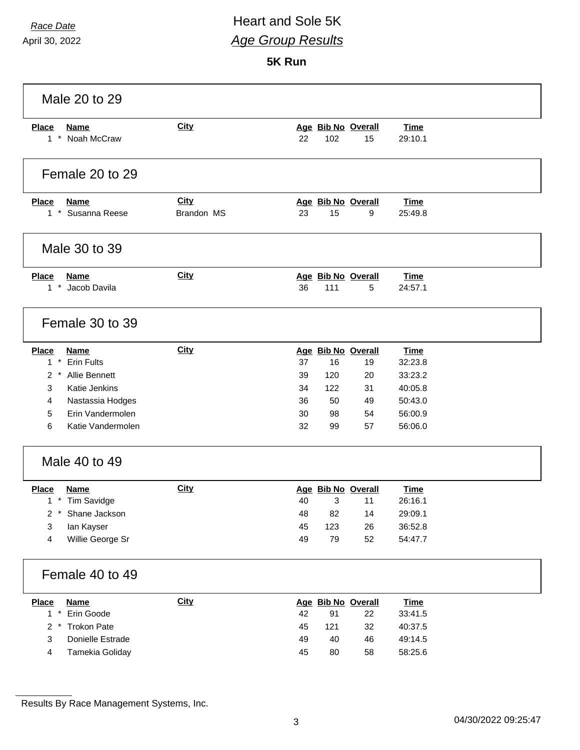#### *Race Date* **All Acce Date Race Date Race Date** *Age Group Results*

**5K Run**

| Male 20 to 29                                                                                                                                                                    |                           |                                                                                                                                  |                                                                               |  |  |
|----------------------------------------------------------------------------------------------------------------------------------------------------------------------------------|---------------------------|----------------------------------------------------------------------------------------------------------------------------------|-------------------------------------------------------------------------------|--|--|
| <b>Place</b><br><b>Name</b><br>1 * Noah McCraw                                                                                                                                   | <b>City</b>               | Age Bib No Overall<br>102<br>22<br>15                                                                                            | <b>Time</b><br>29:10.1                                                        |  |  |
| Female 20 to 29                                                                                                                                                                  |                           |                                                                                                                                  |                                                                               |  |  |
| <b>Place</b><br><b>Name</b><br>1 * Susanna Reese                                                                                                                                 | <b>City</b><br>Brandon MS | Age Bib No Overall<br>15<br>23<br>9                                                                                              | <b>Time</b><br>25:49.8                                                        |  |  |
| Male 30 to 39                                                                                                                                                                    |                           |                                                                                                                                  |                                                                               |  |  |
| <b>Place</b><br><b>Name</b><br>1 * Jacob Davila                                                                                                                                  | <b>City</b>               | Age Bib No Overall<br>36<br>111<br>5                                                                                             | <b>Time</b><br>24:57.1                                                        |  |  |
| Female 30 to 39                                                                                                                                                                  |                           |                                                                                                                                  |                                                                               |  |  |
| <b>Name</b><br><b>Place</b><br>$1 *$<br><b>Erin Fults</b><br>2 * Allie Bennett<br>Katie Jenkins<br>3<br>4<br>Nastassia Hodges<br>5<br>Erin Vandermolen<br>Katie Vandermolen<br>6 | City                      | Age Bib No Overall<br>16<br>37<br>19<br>39<br>120<br>20<br>34<br>122<br>31<br>36<br>50<br>49<br>30<br>54<br>98<br>32<br>57<br>99 | <b>Time</b><br>32:23.8<br>33:23.2<br>40:05.8<br>50:43.0<br>56:00.9<br>56:06.0 |  |  |
| Male 40 to 49                                                                                                                                                                    |                           |                                                                                                                                  |                                                                               |  |  |
| <b>Place</b><br>Name<br>$1$ *<br><b>Tim Savidge</b><br>Shane Jackson<br>$^\star$<br>2<br>3<br>lan Kayser<br>4<br>Willie George Sr                                                | <b>City</b>               | Age Bib No Overall<br>40<br>3<br>11<br>82<br>14<br>48<br>45<br>123<br>26<br>52<br>49<br>79                                       | <b>Time</b><br>26:16.1<br>29:09.1<br>36:52.8<br>54:47.7                       |  |  |
| Female 40 to 49                                                                                                                                                                  |                           |                                                                                                                                  |                                                                               |  |  |
| <b>Place</b><br><b>Name</b><br>$1 *$<br>Erin Goode<br>$2 *$<br><b>Trokon Pate</b><br>3<br>Donielle Estrade<br>$\overline{4}$<br>Tamekia Goliday                                  | <b>City</b>               | Age Bib No Overall<br>42<br>91<br>22<br>45<br>121<br>32<br>46<br>49<br>40<br>45<br>80<br>58                                      | <b>Time</b><br>33:41.5<br>40:37.5<br>49:14.5<br>58:25.6                       |  |  |

Results By Race Management Systems, Inc.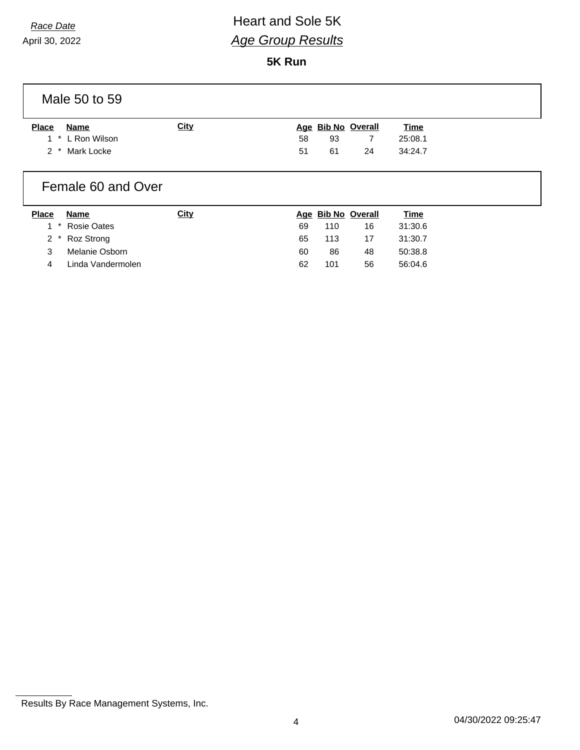## *Race Date* **All Acce Date Race Date Race Date** *Age Group Results*

**5K Run**

Male 50 to 59

| <b>Place</b> | Name             | <u>City</u> |    |    | Age Bib No Overall | <u>Time</u> |
|--------------|------------------|-------------|----|----|--------------------|-------------|
|              | 1 * L Ron Wilson |             | 58 | 93 |                    | 25:08.1     |
|              | 2 * Mark Locke   |             | 51 | 61 | 24                 | 34:24.7     |

#### Female 60 and Over

| <b>Place</b> | Name              | City |    |     | Age Bib No Overall | <u>Time</u> |
|--------------|-------------------|------|----|-----|--------------------|-------------|
|              | 1 * Rosie Oates   |      | 69 | 110 | 16                 | 31:30.6     |
|              | 2 * Roz Strong    |      | 65 | 113 | 17                 | 31:30.7     |
|              | Melanie Osborn    |      | 60 | 86  | 48                 | 50:38.8     |
|              | Linda Vandermolen |      | 62 | 101 | 56                 | 56:04.6     |

Results By Race Management Systems, Inc.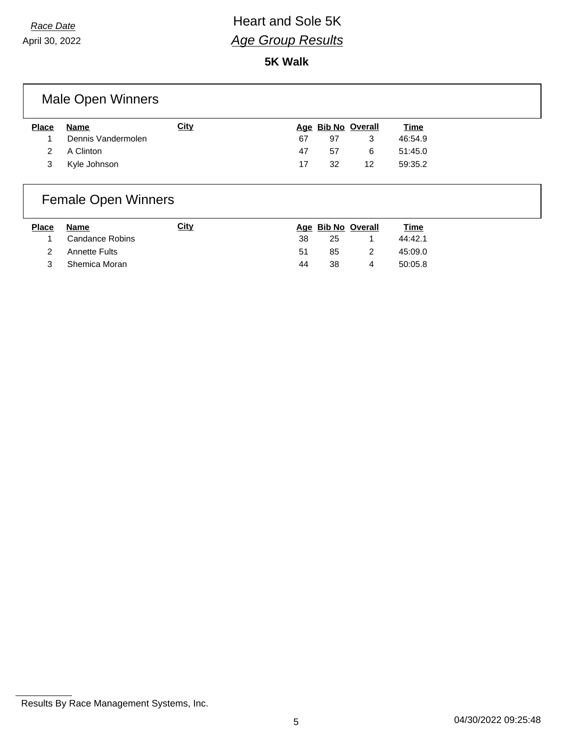## *Race Date* **All Acce Date Race Date Real Access Property Heart** and Sole 5K *Age Group Results*

**5K Walk**

### Male Open Winners

| <b>Place</b> | Name               | <u>City</u> |    |    | Age Bib No Overall | <u>Time</u> |
|--------------|--------------------|-------------|----|----|--------------------|-------------|
|              | Dennis Vandermolen |             | 67 | 97 |                    | 46:54.9     |
|              | 2 A Clinton        |             | 47 | 57 | 6                  | 51:45.0     |
|              | 3 Kyle Johnson     |             | 17 | 32 | 12                 | 59:35.2     |

# Female Open Winners

| <b>Place</b> | Name            | Citv |    |    | Age Bib No Overall | <u>Time</u> |
|--------------|-----------------|------|----|----|--------------------|-------------|
| 1            | Candance Robins |      | 38 | 25 |                    | 44:42.1     |
| 2            | Annette Fults   |      | 51 | 85 | $\mathcal{P}$      | 45:09.0     |
|              | Shemica Moran   |      | 44 | 38 | 4                  | 50:05.8     |

Results By Race Management Systems, Inc.